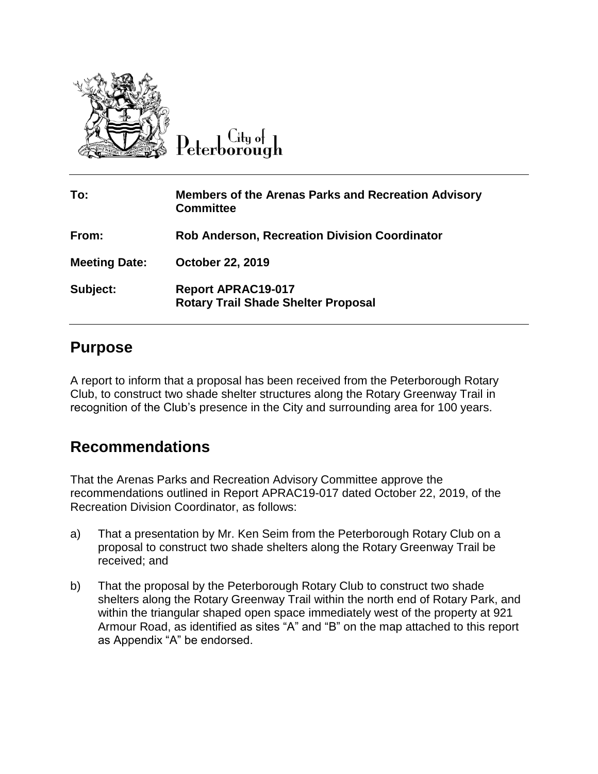

City of eterborough

| To:                  | <b>Members of the Arenas Parks and Recreation Advisory</b><br><b>Committee</b> |
|----------------------|--------------------------------------------------------------------------------|
| From:                | <b>Rob Anderson, Recreation Division Coordinator</b>                           |
| <b>Meeting Date:</b> | <b>October 22, 2019</b>                                                        |
| Subject:             | <b>Report APRAC19-017</b><br><b>Rotary Trail Shade Shelter Proposal</b>        |

### **Purpose**

A report to inform that a proposal has been received from the Peterborough Rotary Club, to construct two shade shelter structures along the Rotary Greenway Trail in recognition of the Club's presence in the City and surrounding area for 100 years.

## **Recommendations**

That the Arenas Parks and Recreation Advisory Committee approve the recommendations outlined in Report APRAC19-017 dated October 22, 2019, of the Recreation Division Coordinator, as follows:

- a) That a presentation by Mr. Ken Seim from the Peterborough Rotary Club on a proposal to construct two shade shelters along the Rotary Greenway Trail be received; and
- b) That the proposal by the Peterborough Rotary Club to construct two shade shelters along the Rotary Greenway Trail within the north end of Rotary Park, and within the triangular shaped open space immediately west of the property at 921 Armour Road, as identified as sites "A" and "B" on the map attached to this report as Appendix "A" be endorsed.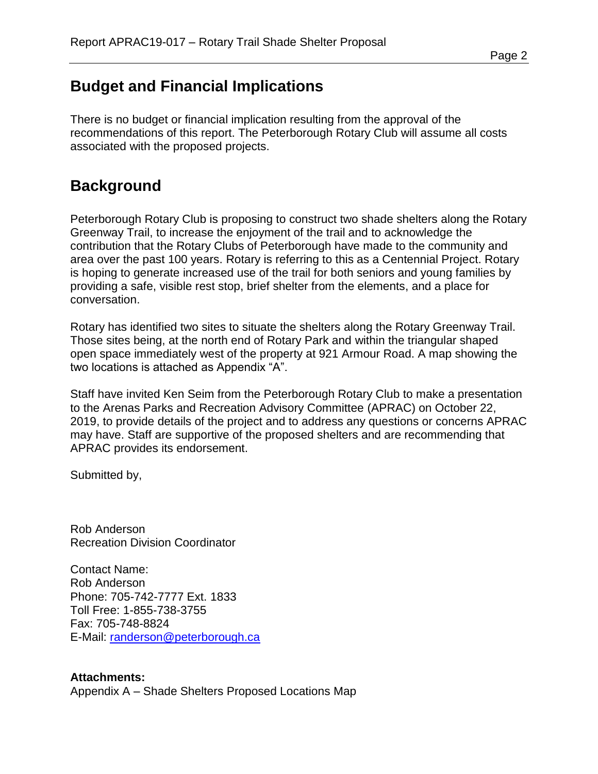# **Budget and Financial Implications**

There is no budget or financial implication resulting from the approval of the recommendations of this report. The Peterborough Rotary Club will assume all costs associated with the proposed projects.

# **Background**

Peterborough Rotary Club is proposing to construct two shade shelters along the Rotary Greenway Trail, to increase the enjoyment of the trail and to acknowledge the contribution that the Rotary Clubs of Peterborough have made to the community and area over the past 100 years. Rotary is referring to this as a Centennial Project. Rotary is hoping to generate increased use of the trail for both seniors and young families by providing a safe, visible rest stop, brief shelter from the elements, and a place for conversation.

Rotary has identified two sites to situate the shelters along the Rotary Greenway Trail. Those sites being, at the north end of Rotary Park and within the triangular shaped open space immediately west of the property at 921 Armour Road. A map showing the two locations is attached as Appendix "A".

Staff have invited Ken Seim from the Peterborough Rotary Club to make a presentation to the Arenas Parks and Recreation Advisory Committee (APRAC) on October 22, 2019, to provide details of the project and to address any questions or concerns APRAC may have. Staff are supportive of the proposed shelters and are recommending that APRAC provides its endorsement.

Submitted by,

Rob Anderson Recreation Division Coordinator

Contact Name: Rob Anderson Phone: 705-742-7777 Ext. 1833 Toll Free: 1-855-738-3755 Fax: 705-748-8824 E-Mail: [randerson@peterborough.ca](mailto:randerson@peterborough.ca)

**Attachments:** Appendix A – Shade Shelters Proposed Locations Map